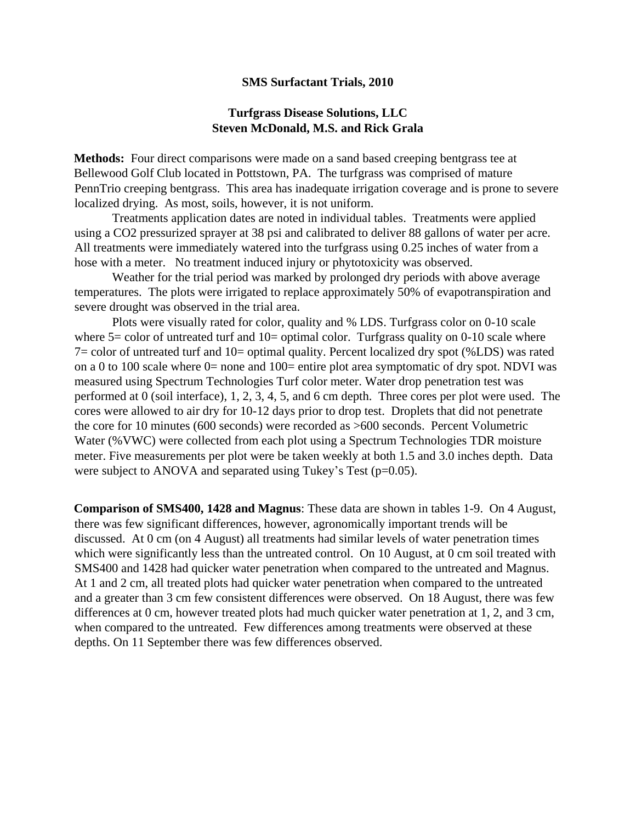## **SMS Surfactant Trials, 2010**

## **Turfgrass Disease Solutions, LLC Steven McDonald, M.S. and Rick Grala**

**Methods:** Four direct comparisons were made on a sand based creeping bentgrass tee at Bellewood Golf Club located in Pottstown, PA. The turfgrass was comprised of mature PennTrio creeping bentgrass. This area has inadequate irrigation coverage and is prone to severe localized drying. As most, soils, however, it is not uniform.

Treatments application dates are noted in individual tables. Treatments were applied using a CO2 pressurized sprayer at 38 psi and calibrated to deliver 88 gallons of water per acre. All treatments were immediately watered into the turfgrass using 0.25 inches of water from a hose with a meter. No treatment induced injury or phytotoxicity was observed.

Weather for the trial period was marked by prolonged dry periods with above average temperatures. The plots were irrigated to replace approximately 50% of evapotranspiration and severe drought was observed in the trial area.

Plots were visually rated for color, quality and % LDS. Turfgrass color on 0-10 scale where  $5 =$  color of untreated turf and  $10 =$  optimal color. Turfgrass quality on 0-10 scale where 7= color of untreated turf and 10= optimal quality. Percent localized dry spot (%LDS) was rated on a 0 to 100 scale where  $0=$  none and 100= entire plot area symptomatic of dry spot. NDVI was measured using Spectrum Technologies Turf color meter. Water drop penetration test was performed at 0 (soil interface), 1, 2, 3, 4, 5, and 6 cm depth. Three cores per plot were used. The cores were allowed to air dry for 10-12 days prior to drop test. Droplets that did not penetrate the core for 10 minutes (600 seconds) were recorded as >600 seconds. Percent Volumetric Water (%VWC) were collected from each plot using a Spectrum Technologies TDR moisture meter. Five measurements per plot were be taken weekly at both 1.5 and 3.0 inches depth. Data were subject to ANOVA and separated using Tukey's Test (p=0.05).

**Comparison of SMS400, 1428 and Magnus**: These data are shown in tables 1-9. On 4 August, there was few significant differences, however, agronomically important trends will be discussed. At 0 cm (on 4 August) all treatments had similar levels of water penetration times which were significantly less than the untreated control. On 10 August, at 0 cm soil treated with SMS400 and 1428 had quicker water penetration when compared to the untreated and Magnus. At 1 and 2 cm, all treated plots had quicker water penetration when compared to the untreated and a greater than 3 cm few consistent differences were observed. On 18 August, there was few differences at 0 cm, however treated plots had much quicker water penetration at 1, 2, and 3 cm, when compared to the untreated. Few differences among treatments were observed at these depths. On 11 September there was few differences observed.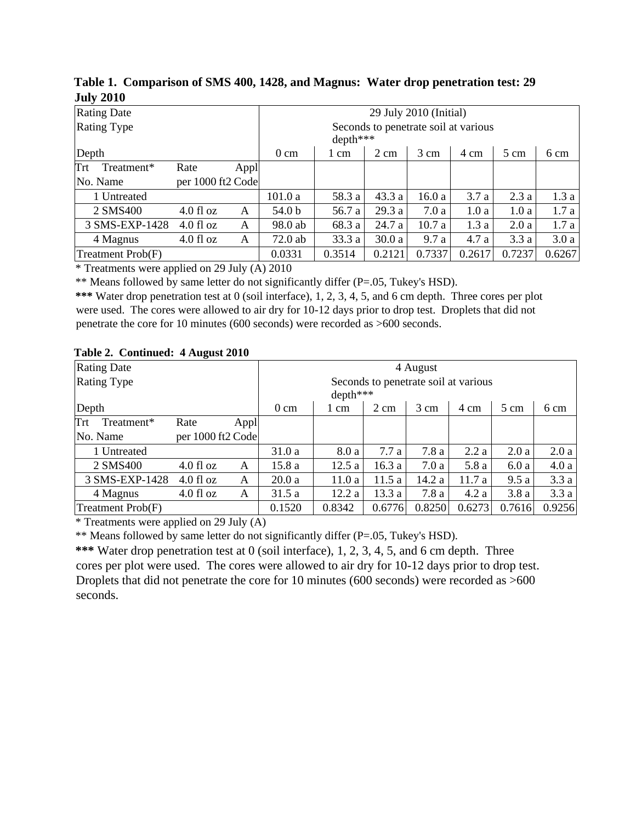|                  |  |  | Table 1. Comparison of SMS 400, 1428, and Magnus: Water drop penetration test: 29 |
|------------------|--|--|-----------------------------------------------------------------------------------|
| <b>July 2010</b> |  |  |                                                                                   |

| <b>Rating Date</b> |                   |                | 29 July 2010 (Initial)                           |        |        |        |                |        |        |  |  |
|--------------------|-------------------|----------------|--------------------------------------------------|--------|--------|--------|----------------|--------|--------|--|--|
| <b>Rating Type</b> |                   |                | Seconds to penetrate soil at various<br>depth*** |        |        |        |                |        |        |  |  |
| Depth              |                   | $0 \text{ cm}$ | 1 cm                                             | 2 cm   | 3 cm   | 4 cm   | $5 \text{ cm}$ | 6 cm   |        |  |  |
| Trt<br>Treatment*  | Rate              | Appl           |                                                  |        |        |        |                |        |        |  |  |
| No. Name           | per 1000 ft2 Code |                |                                                  |        |        |        |                |        |        |  |  |
| 1 Untreated        |                   |                | 101.0a                                           | 58.3 a | 43.3a  | 16.0a  | 3.7a           | 2.3a   | 1.3a   |  |  |
| 2 SMS400           | $4.0$ fl oz       | A              | 54.0 b                                           | 56.7 a | 29.3 a | 7.0a   | 1.0a           | 1.0a   | 1.7a   |  |  |
| 3 SMS-EXP-1428     | $4.0$ fl oz       | A              | 98.0 ab                                          | 68.3 a | 24.7 a | 10.7a  | 1.3a           | 2.0a   | 1.7a   |  |  |
| 4 Magnus           | 4.0 f1 oz         | A              | 72.0 ab                                          | 33.3 a | 30.0a  | 9.7 a  | 4.7a           | 3.3a   | 3.0a   |  |  |
| Treatment Prob(F)  |                   |                | 0.0331                                           | 0.3514 | 0.2121 | 0.7337 | 0.2617         | 0.7237 | 0.6267 |  |  |

\* Treatments were applied on 29 July (A) 2010

\*\* Means followed by same letter do not significantly differ (P=.05, Tukey's HSD).

**\*\*\*** Water drop penetration test at 0 (soil interface), 1, 2, 3, 4, 5, and 6 cm depth. Three cores per plot were used. The cores were allowed to air dry for 10-12 days prior to drop test. Droplets that did not penetrate the core for 10 minutes (600 seconds) were recorded as >600 seconds.

| <b>Rating Date</b> |                   |      | 4 August                                         |        |                |        |        |        |        |  |
|--------------------|-------------------|------|--------------------------------------------------|--------|----------------|--------|--------|--------|--------|--|
| <b>Rating Type</b> |                   |      | Seconds to penetrate soil at various<br>depth*** |        |                |        |        |        |        |  |
| Depth              |                   |      | $0 \text{ cm}$                                   | 1 cm   | $2 \text{ cm}$ | 3 cm   | 4 cm   | 5 cm   | 6 cm   |  |
| Trt<br>Treatment*  | Rate              | Appl |                                                  |        |                |        |        |        |        |  |
| No. Name           | per 1000 ft2 Code |      |                                                  |        |                |        |        |        |        |  |
| 1 Untreated        |                   |      | 31.0a                                            | 8.0 a  | 7.7a           | 7.8a   | 2.2a   | 2.0a   | 2.0a   |  |
| 2 SMS400           | 4.0 f1 oz         | A    | 15.8a                                            | 12.5a  | 16.3a          | 7.0a   | 5.8 a  | 6.0a   | 4.0a   |  |
| 3 SMS-EXP-1428     | $4.0$ fl oz       | A    | 20.0a                                            | 11.0a  | 11.5a          | 14.2 a | 11.7 a | 9.5a   | 3.3a   |  |
| 4 Magnus           | $4.0$ fl oz       | A    | 31.5 a                                           | 12.2a  | 13.3a          | 7.8a   | 4.2a   | 3.8a   | 3.3a   |  |
| Treatment Prob(F)  |                   |      | 0.1520                                           | 0.8342 | 0.6776         | 0.8250 | 0.6273 | 0.7616 | 0.9256 |  |

#### **Table 2. Continued: 4 August 2010**

 $*$  Treatments were applied on 29 July (A)

\*\* Means followed by same letter do not significantly differ (P=.05, Tukey's HSD).

**\*\*\*** Water drop penetration test at 0 (soil interface), 1, 2, 3, 4, 5, and 6 cm depth. Three cores per plot were used. The cores were allowed to air dry for 10-12 days prior to drop test. Droplets that did not penetrate the core for 10 minutes (600 seconds) were recorded as >600 seconds.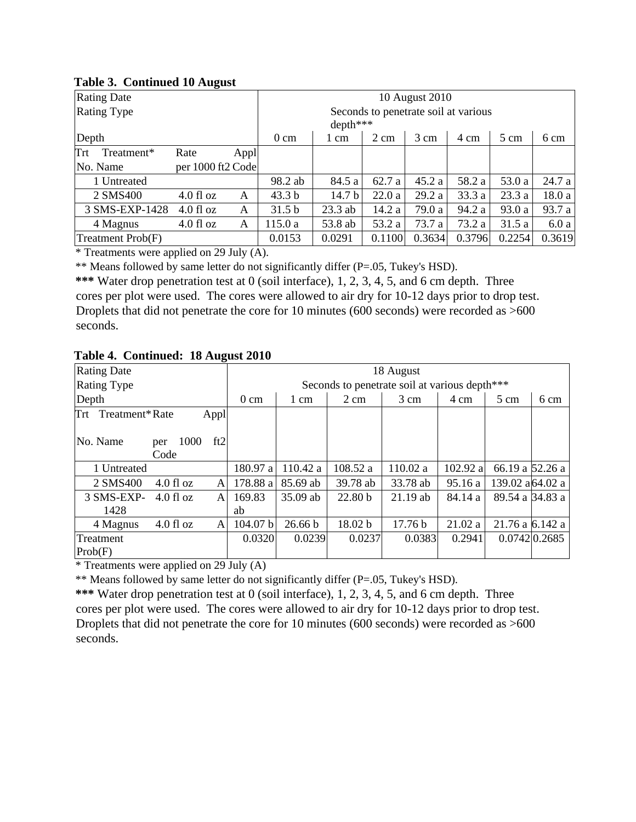# **Table 3. Continued 10 August**

| <b>Rating Date</b>                    |                   |                                                   | 10 August 2010    |                                      |                |        |        |                |        |  |  |
|---------------------------------------|-------------------|---------------------------------------------------|-------------------|--------------------------------------|----------------|--------|--------|----------------|--------|--|--|
| <b>Rating Type</b>                    |                   |                                                   |                   | Seconds to penetrate soil at various |                |        |        |                |        |  |  |
|                                       |                   |                                                   | depth***          |                                      |                |        |        |                |        |  |  |
| Depth                                 |                   |                                                   | $0 \text{ cm}$    | 1 cm                                 | $2 \text{ cm}$ | 3 cm   | 4 cm   | $5 \text{ cm}$ | 6 cm   |  |  |
| Trt<br>Treatment*                     | Rate              | Appl                                              |                   |                                      |                |        |        |                |        |  |  |
| No. Name                              | per 1000 ft2 Code |                                                   |                   |                                      |                |        |        |                |        |  |  |
| 1 Untreated                           |                   |                                                   | 98.2 ab           | 84.5 a                               | 62.7 a         | 45.2a  | 58.2 a | 53.0 a         | 24.7 a |  |  |
| 2 SMS400                              | $4.0$ fl oz       | A                                                 | 43.3 <sub>b</sub> | 14.7 <sub>b</sub>                    | 22.0a          | 29.2a  | 33.3 a | 23.3a          | 18.0a  |  |  |
| 3 SMS-EXP-1428                        | 4.0 f1 oz         | A                                                 | 31.5 <sub>b</sub> | $23.3$ ab                            | 14.2 a         | 79.0 a | 94.2 a | 93.0 a         | 93.7 a |  |  |
| 4 Magnus                              | 4.0 f1 oz         | A                                                 | 115.0 a           | 53.8 ab                              | 53.2 a         | 73.7 a | 73.2 a | 31.5 a         | 6.0a   |  |  |
| Treatment Prob(F)                     |                   |                                                   | 0.0153            | 0.0291                               | 0.1100         | 0.3634 | 0.3796 | 0.2254         | 0.3619 |  |  |
| $\mathbf{r}$ . The state $\mathbf{r}$ | $\cdots$          | $\bigcap_{n=1}^{\infty}$ $\bigcap_{n=1}^{\infty}$ |                   |                                      |                |        |        |                |        |  |  |

\* Treatments were applied on 29 July (A).

\*\* Means followed by same letter do not significantly differ (P=.05, Tukey's HSD).

**\*\*\*** Water drop penetration test at 0 (soil interface), 1, 2, 3, 4, 5, and 6 cm depth. Three cores per plot were used. The cores were allowed to air dry for 10-12 days prior to drop test. Droplets that did not penetrate the core for 10 minutes (600 seconds) were recorded as >600 seconds.

# **Table 4. Continued: 18 August 2010**

| <b>Rating Date</b>    |             |      |      |                                               |          |                    | 18 August          |          |                     |                      |  |  |  |
|-----------------------|-------------|------|------|-----------------------------------------------|----------|--------------------|--------------------|----------|---------------------|----------------------|--|--|--|
| <b>Rating Type</b>    |             |      |      | Seconds to penetrate soil at various depth*** |          |                    |                    |          |                     |                      |  |  |  |
| Depth                 |             |      |      | $0 \text{ cm}$                                | 1 cm     | $2 \text{ cm}$     | $3 \text{ cm}$     | 4 cm     | $5 \text{ cm}$      | 6 cm                 |  |  |  |
| Trt<br>Treatment*Rate |             |      | Appl |                                               |          |                    |                    |          |                     |                      |  |  |  |
|                       |             |      |      |                                               |          |                    |                    |          |                     |                      |  |  |  |
| No. Name              | per         | 1000 | ft2  |                                               |          |                    |                    |          |                     |                      |  |  |  |
|                       | Code        |      |      |                                               |          |                    |                    |          |                     |                      |  |  |  |
| 1 Untreated           |             |      |      | 180.97 a                                      | 110.42 a | 108.52 a           | 110.02 a           | 102.92 a | 66.19 a 52.26 a     |                      |  |  |  |
| 2 SMS400              | $4.0$ fl oz |      | A    | 178.88 a                                      | 85.69 ab | 39.78 ab           | 33.78 ab           | 95.16a   | 139.02 a 64.02 a    |                      |  |  |  |
| 3 SMS-EXP-            | $4.0$ fl oz |      | A    | 169.83                                        | 35.09 ab | 22.80 <sub>b</sub> | 21.19 ab           | 84.14 a  | 89.54 a 34.83 a     |                      |  |  |  |
| 1428                  |             |      |      | ab                                            |          |                    |                    |          |                     |                      |  |  |  |
| 4 Magnus              | $4.0$ fl oz |      | A    | 104.07 b                                      | 26.66 b  | 18.02 b            | 17.76 <sub>b</sub> | 21.02 a  | $21.76$ a $6.142$ a |                      |  |  |  |
| Treatment             |             |      |      | 0.0320                                        | 0.0239   | 0.0237             | 0.0383             | 0.2941   |                     | $0.0742 \mid 0.2685$ |  |  |  |
| Prob(F)               |             |      |      |                                               |          |                    |                    |          |                     |                      |  |  |  |

 $*$  Treatments were applied on 29 July (A)

\*\* Means followed by same letter do not significantly differ (P=.05, Tukey's HSD).

**\*\*\*** Water drop penetration test at 0 (soil interface), 1, 2, 3, 4, 5, and 6 cm depth. Three cores per plot were used. The cores were allowed to air dry for 10-12 days prior to drop test. Droplets that did not penetrate the core for 10 minutes (600 seconds) were recorded as >600 seconds.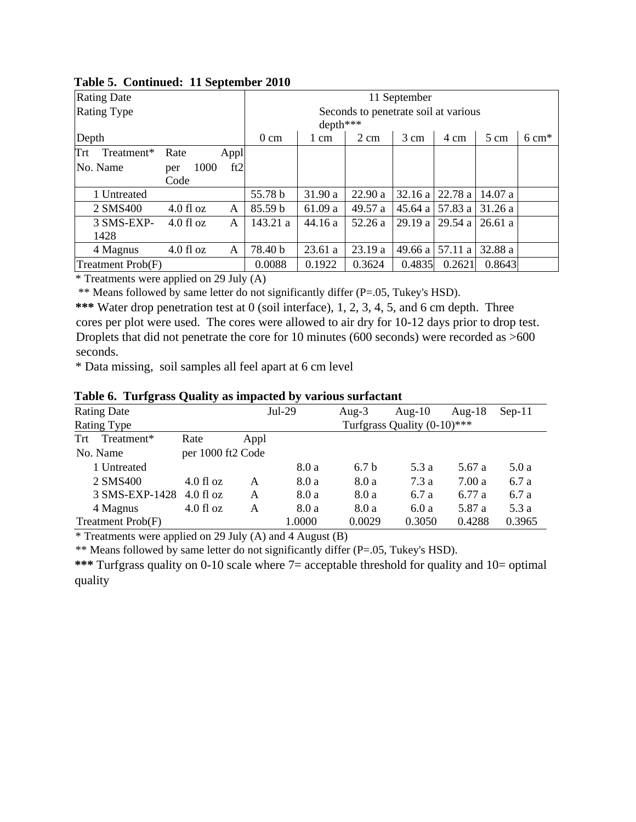| <b>Rating Date</b> |             |      | 11 September   |                                      |                |         |                      |         |                  |  |  |
|--------------------|-------------|------|----------------|--------------------------------------|----------------|---------|----------------------|---------|------------------|--|--|
| <b>Rating Type</b> |             |      |                | Seconds to penetrate soil at various |                |         |                      |         |                  |  |  |
|                    |             |      |                | depth***                             |                |         |                      |         |                  |  |  |
| Depth              |             |      | $0 \text{ cm}$ | 1 cm                                 | $2 \text{ cm}$ | 3 cm    | 4 cm                 | 5 cm    | $6 \text{ cm}^*$ |  |  |
| Trt<br>Treatment*  | Rate        | Appl |                |                                      |                |         |                      |         |                  |  |  |
| No. Name           | 1000<br>per | ft2  |                |                                      |                |         |                      |         |                  |  |  |
|                    | Code        |      |                |                                      |                |         |                      |         |                  |  |  |
| 1 Untreated        |             |      | 55.78 b        | 31.90 a                              | 22.90 a        |         | $32.16$ a $ 22.78$ a | 14.07a  |                  |  |  |
| 2 SMS400           | $4.0$ fl oz | A    | 85.59 b        | 61.09 a                              | 49.57 a        | 45.64 a | 57.83 a              | 31.26a  |                  |  |  |
| 3 SMS-EXP-         | $4.0$ fl oz | A    | 143.21 a       | 44.16 a                              | 52.26 a        |         | 29.19 a 29.54 a      | 26.61a  |                  |  |  |
| 1428               |             |      |                |                                      |                |         |                      |         |                  |  |  |
| 4 Magnus           | $4.0$ fl oz | A    | 78.40 b        | 23.61 a                              | 23.19 a        | 49.66 a | 57.11 a              | 32.88 a |                  |  |  |
| Treatment Prob(F)  |             |      | 0.0088         | 0.1922                               | 0.3624         | 0.4835  | 0.2621               | 0.8643  |                  |  |  |

# **Table 5. Continued: 11 September 2010**

\* Treatments were applied on 29 July (A)

\*\* Means followed by same letter do not significantly differ (P=.05, Tukey's HSD).

**\*\*\*** Water drop penetration test at 0 (soil interface), 1, 2, 3, 4, 5, and 6 cm depth. Three cores per plot were used. The cores were allowed to air dry for 10-12 days prior to drop test. Droplets that did not penetrate the core for 10 minutes (600 seconds) were recorded as >600 seconds.

\* Data missing, soil samples all feel apart at 6 cm level

| <b>Rating Date</b> |                   |      | $Jul-29$ | Aug- $3$                    | Aug- $10$ | Aug- $18$ | $Sep-11$ |  |  |
|--------------------|-------------------|------|----------|-----------------------------|-----------|-----------|----------|--|--|
| Rating Type        |                   |      |          | Turfgrass Quality (0-10)*** |           |           |          |  |  |
| Treatment*<br>Trt  | Rate              | Appl |          |                             |           |           |          |  |  |
| No. Name           | per 1000 ft2 Code |      |          |                             |           |           |          |  |  |
| 1 Untreated        |                   |      | 8.0 a    | 6.7 <sub>b</sub>            | 5.3 a     | 5.67 a    | 5.0a     |  |  |
| 2 SMS400           | $4.0$ fl oz       | A    | 8.0 a    | 8.0 a                       | 7.3a      | 7.00a     | 6.7a     |  |  |
| 3 SMS-EXP-1428     | $4.0$ fl oz       | Α    | 8.0 a    | 8.0 a                       | 6.7 a     | 6.77 a    | 6.7 a    |  |  |
| 4 Magnus           | $4.0$ fl oz       | Α    | 8.0 a    | 8.0 a                       | 6.0a      | 5.87 a    | 5.3 a    |  |  |
| Treatment Prob(F)  |                   |      | 1.0000   | 0.0029                      | 0.3050    | 0.4288    | 0.3965   |  |  |

**Table 6. Turfgrass Quality as impacted by various surfactant** 

\* Treatments were applied on 29 July (A) and 4 August (B)

\*\* Means followed by same letter do not significantly differ (P=.05, Tukey's HSD).

**\*\*\*** Turfgrass quality on 0-10 scale where 7= acceptable threshold for quality and 10= optimal quality